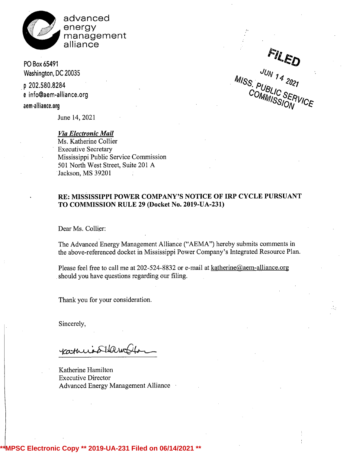

advanced energy management alliance

PO Box 65491 Washington, DC 20035

p 202.580.8284 e info@aem-alliance.org

aem-alliance.org

June 14, 2021

Via Electronic Mail Ms. Katherine Collier Executive Secretary Mississippi Public Service Commission 501 North West Street, Suite 201 A Jackson, MS 39201

202.580.8284  $^{19/5}$ S.  $P_{11D}$ ,  $^{202}$ terminance.org and the contract of the COMMANDS.

## RE: MISSISSIPPI POWER COMPANY'S NOTICE OF IRP CYCLE PURSUANT TO COMMISSION RULE 29 (Docket No. 2019-UA-231)

Dear Ms. Collier:

The Advanced Energy Management Alliance ("AEMA") hereby submits comments in the above-referenced docket in Mississippi Power Company's Integrated Resource Plan.

Please feel free to call me at 202-524-8832 or e-mail at katherine@aem-alliance.org should you have questions regarding our filing.

Thank you for your consideration.

Sincerely,

Katheric SHamble

Katherine Hamilton Executive Director Advanced Energy Management Alliance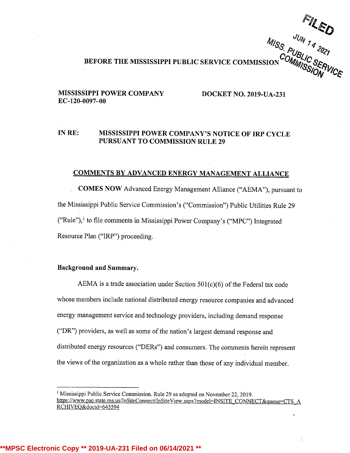MIS<sub>S. PUBLIC SERVICE COMMISSION</sub> COMMISSION CORPUTE<br>BEFORE THE MISSISSIPPI PUBLIC SERVICE COMMISSION COMMISSION

### MISSISSIPPI POWER COMPANY DOCKET NO. 2019-UA-231 EC-120-0097-00

## IN RE: MISSISSIPPI POWER COMPANY'S NOTICE OF IRP CYCLE PURSUANT TO COMMISSION RULE 29

## COMMENTS BY ADVANCED ENERGY MANAGEMENT ALLIANCE

COMES NOW Advanced Energy Management Alliance ("AEMA"), pursuant to the Mississippi Public Service Commission's ("Commission") Public Utilities Rule 29 ("Rule"),1 to file comments in Mississippi Power Company's ("MPC") Integrated Resource Plan ("IRP") proceeding.

### Background and Summary.

AEMA is <sup>a</sup> trade association under Section 501(c)(6) of the Federal tax code whose members include national distributed energy resource companies and advanced energy management service and technology providers, including demand response ("DR") providers, as well as some of the nation's largest demand response and distributed energy resources ("DERs") and consumers. The comments herein represent the views of the organization as <sup>a</sup> whole rather than those of any individual member.

<sup>&#</sup>x27; Mississippi Public Service Commission. Rule 29 as adopted on November22, 2019. https://www.psc.state.ms.us/InSiteConnect/InSiteView.aspx?model=INSITE CONNECT&queue=CTS A RCHIVEQ&docid=645594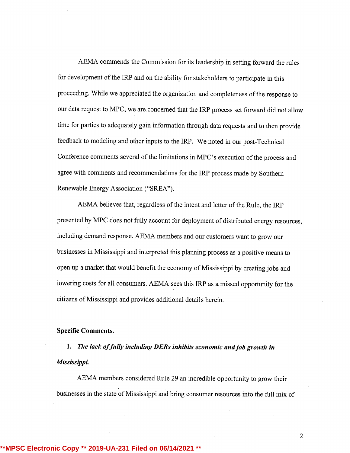AEMA commends the Commission for its leadership in setting forward the rules for development of the IRP and on the ability for stakeholders to participate in this proceeding. While we appreciated the organization and completeness of the response to our data request to MPC, we are.concerned that the IRP process set forward did not allow time for parties to adequately gain information through data requests and to then provide feedback to modeling and other inputs to the IRP. We noted in our post-Technical Conference comments several of the limitations in MPC's execution of the process and agree with comments and recommendations for the IRP process made by Southern Renewable Energy Association ("SREA").

AEMA believes that, regardless of the intent and letter of the Rule, the IRP presented by MPC does not fully account for deployment of distributed energy resources, including demand response. AEMA members and our customers want to grow our businesses in Mississippi and interpreted this planning process as <sup>a</sup> positive means to open up <sup>a</sup> market that would benefit the economy of Mississippi by creating jobs and lowering costs for all consumers. AEMA sees this IRP as a missed opportunity for the citizens of Mississippi and provides additional details herein.

#### Specific Comments.

I. The lack of fully including DERs inhibits economic and job growth in Mississippi.

AEMA members considered Rule 29 an incredible opportunity to grow their businesses in the state of Mississippi and bring consumer resources into the full mix of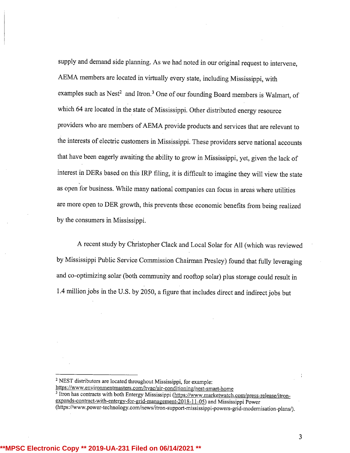supply and demand side planning. As we had noted in our original request to intervene, AEMA members are located in virtuallyevery state, including Mississippi, with examples such as Nest<sup>2</sup> and Itron.<sup>3</sup> One of our founding Board members is Walmart, of which 64 are located in the state of Mississippi. Other distributed energy resource providers who are members of AEMA provide products and services that are relevant to the interests of electric customers in Mississippi. These providers serve national accounts that have been eagerly awaiting the ability to grow in Mississippi, yet, given the lack of interest in DERs based on this IRP filing, it is difficult to imagine they will view the state as open for business. While many national companies can focus in areas where utilities are more open to DER growth, this prevents these economic benefits from being realized by the consumers in Mississippi.

A recent study by Christopher Clack and Local Solar for All (which was reviewed by Mississippi Public Service Commission Chairman Presley) found that fully leveraging and co-optimizing solar (both community and rooftop solar) plus storage could result in 1.4 million jobs in the U.S. by 2050, <sup>a</sup> figure that includes direct and indirect jobs but

<sup>3</sup> Itron has contracts with both Entergy Mississippi (https://www.marketwatch.com/press-release/itron expands-contract-with-entergy-for-arid-management-2018-11-05) and Mississippi Power (https://www.power-technology.com/news/itron-support-mississippi-powers-grid-modernisation-plans/).

<sup>2</sup> NEST distributors are located throughout Mississippi, for example:

https://www.environmentmasters.com/hvac/air-conditioning/nest-smart-home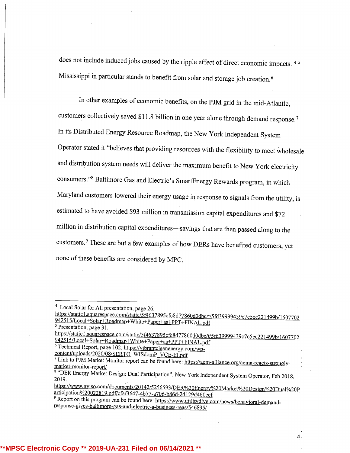does not include induced jobs caused by the ripple effect of direct economic impacts. <sup>45</sup> Mississippi in particular stands to benefit from solar and storage job creation.6

In other examples of economic benefits, on the PJM grid in the mid-Atlantic, customers collectively saved \$11.8 billion in one year alone through demand response.<sup>7</sup> In its Distributed Energy Resource Roadmap, the New York Independent System Operator stated it "believes that providing resources with the flexibility to meet wholesale and distribution system needs will deliver the maximum benefit to New York electricity consumers."<sup>8</sup> Baltimore Gas and Electric's SmartEnergy Rewards program, in which Maryland customers lowered their energy usage in response to signals from the utility, is estimated to have avoided \$93 million in transmission capital expenditures and \$72 million in distribution capital expenditures-savings that are then passed along to the customers.<sup>9</sup> These are but a few examples of how DERs have benefited customers, yet none of these benefits are considered by MPC.

<sup>3</sup> Presentation, page 31.

<sup>6</sup> Technical Report, page 102. https://vibrantcleanenerev.com/wpcontent/uploads/2020/08/SERTO WISdomP VCE-EI.pdf

https://www.nviso.com/documents/20142/5256593/DER%20Energy%20Market%20Design%20Dual%20P articipation%20022819.pdf/cfaf3647-4b77-a706-b86d-24129d460ecf

<sup>&</sup>lt;sup>4</sup> Local Solar for All presentation, page 26

https://staticl.squarespace.com/static/5f4637895cfc8d77860d0dbc/t/5fd39999439c7c5ec22l499b/1607702 942515/Local+Solar+Roadmap+White+Paper+as+PPT+FINAL.pdf

https://staticl.squarespace.com/static/5f4637895cfc8d77860d0dbc/t/5fd39999439c7c5ec221499b/1607702 942515/Local+Solar+Roadmap+White+Paper+as+PPT+FINAL.pdf

<sup>2</sup> Link to PJM Market Monitor report can be found here: https://aem-alliance.org/aema-reacts-stronalvmarket-monitor-report/

 $^8$  "DER Energy Market Design: Dual Participation". New York Independent System Operator, Feb 2018<br>2019.

Report on this program can be found here: https://www.utilitydive.com/news/behavioral-demandresponse-gives-baltimore-gas-and-electric-a-business-reas/546895/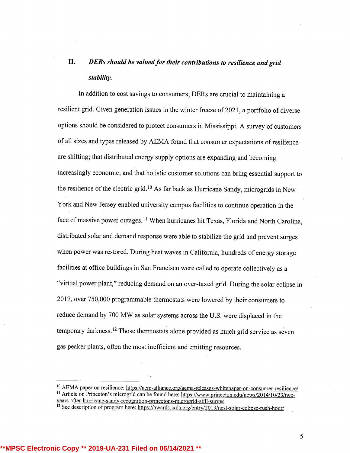# II. DERs should be valued for their contributions to resilience and grid stability.

In addition to cost savings to consumers, DERs are crucial to maintaining <sup>a</sup> resilient grid. Given generation issues in the winter freeze of 2021, <sup>a</sup> portfolio of diverse options should be considered to protect consumers in Mississippi. A survey of customers of all sizes and types released by AEMA found that consumer expectations of resilience are shifting; that distributed energy supply options are expanding and becoming increasingly economic; and that holistic customer solutions can bring essential support to the resilience of the electric grid.<sup>10</sup> As far back as Hurricane Sandy, microgrids in New York and New Jersey enabled universitycampus facilities to continue operation in the face of massive power outages.<sup>11</sup> When hurricanes hit Texas, Florida and North Carolina, distributed solar and demand response were able to stabilize the grid and prevent surges when power was restored. During heat waves in California, hundreds of energy storage facilities at office buildings in San Francisco were called to operate collectively as <sup>a</sup> "virtual power plant," reducing demand on an over-taxed grid. During the solar eclipse in 2017, over 750,000 programmable thermostats were lowered by their consumers to reduce demand by 700 MW as solar systems across the U.S. were displaced in the temporary darkness.<sup>12</sup> Those thermostats alone provided as much grid service as seven gas peaker plants, often the most inefficient and emitting resources.

**\*\*MPSC Electronic Copy \*\* 2019-UA-231 Filed on 06/14/2021 \*\***

<sup>&</sup>lt;sup>10</sup> AEMA paper on resilience: https://aem-alliance.org/aema-releases-whitepaper-on-consumer-resilience/ <sup>11</sup> Article on Princeton's microgrid can be found here: https://www.princeton.edu/news/2014/10/23/twoyears-after-hurricane-sandy-recognition-princetons-microerid-still-surges

<sup>&</sup>lt;sup>12</sup> See description of program here: https://awards.ixda.org/entry/2019/nest-solar-eclipse-rush-hour/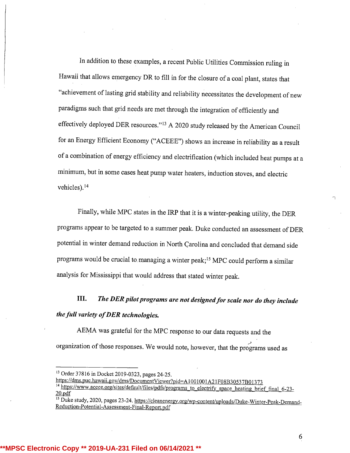In addition to these examples, <sup>a</sup> recent Public Utilities Commission ruling in Hawaii that allows emergency DR to fill in for the closure of <sup>a</sup> coal plant, states that "achievement of lasting grid stability and reliability necessitates the development of new paradigms such that grid needs are met through the integration of efficiently and effectively deployed DER resources." $13$  A 2020 study released by the American Council for an Energy Efficient Economy ("ACEEE") shows an increase in reliability as <sup>a</sup> result of a combination of energy efficiency and electrification (which included heat pumps at a minimum, but in some cases heat pump water heaters, induction stoves, and electric vehicles).14

Finally,while MPC states in the IRP that it is <sup>a</sup> winter-peaking utility, the DER programs appear to be targeted to <sup>a</sup> summer peak. Duke conducted an assessment of DER potential in winter demand reduction in North Carolina and concluded that demand side programs would be crucial to managing a winter peak;<sup>15</sup> MPC could perform a similar analysis for Mississippi that would address that stated winter peak.

III. The DER pilot programs are not designed for scale nor do they include the full variety of DER technologies.

AEMA was grateful for the MPC response to our data requests and the organization of those responses. We would note, however, that the programs used as

<sup>&</sup>lt;sup>13</sup> Order 37816 in Docket 2019-0323, pages 24-25.

https://dms.puc.hawaii.gov/dms/DocumentViewer?pid=A1001001A21F08B30537B01373

<sup>&</sup>lt;sup>14</sup> https://www.aceee.org/sites/default/files/pdfs/programs to electrify space heating brief final 6-23-20.pdf

<sup>&</sup>lt;sup>15</sup> Duke study, 2020, pages 23-24. https://cleanenergy.org/wp-content/uploads/Duke-Winter-Peak-Demand-Reduction-Potential-Assessment-Final-Report.pdf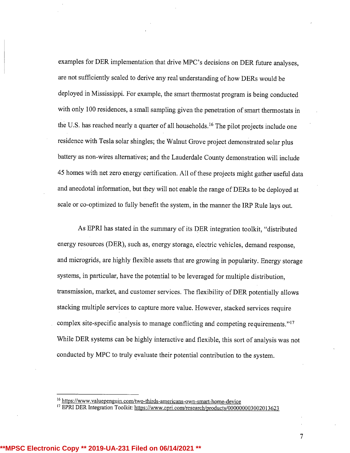examples for DER implementation that drive MPC's decisions on DER future analyses, are not sufficiently scaled to derive any real understanding of how DERs would be deployed in Mississippi. For example, the smart thermostat program is being conducted with only <sup>100</sup> residences, <sup>a</sup> small sampling given the penetration of smart thermostats in the U.S. has reached nearly a quarter of all households.<sup>16</sup> The pilot projects include one residence with Tesla solar shingles; the Walnut Grove project demonstrated solar plus battery as non-wires alternatives; and the Lauderdale County demonstration will include 45 homes with net zero energy certification. All of these projects might gather useful data and anecdotal information, but they will not enable the range of DERs to be deployed at scale or co-optimized to fully benefit the system, in the manner the IRP Rule lays out.

As EPRI has stated in the summary of its DER integration toolkit, "distributed energy resources (DER), such as, energy storage, electric vehicles, demand response, and microgrids, are highly flexible assets that are growing in popularity. Energy storage systems, in particular, have the potential to be leveraged for multiple distribution, transmission, market, and customer services. The flexibility of DER potentially allows stacking multiple services to capture more value. However, stacked services require complex site-specific analysis to manage conflicting and competing requirements."<sup>17</sup> While DER systems can be highly interactive and flexible, this sort of analysis was not conducted by MPC to truly evaluate their potential contribution to the system.

**PSC Electronic Copy \*\* 2019-UA-231 Filed on 06/14/202** 

<sup>&</sup>lt;sup>16</sup> https://www.valuepenguin.com/two-thirds-americans-own-smart-home-device

<sup>17</sup> EPRI DER Integration Toolkit: https://www.epri.com/research/products/000000003002013623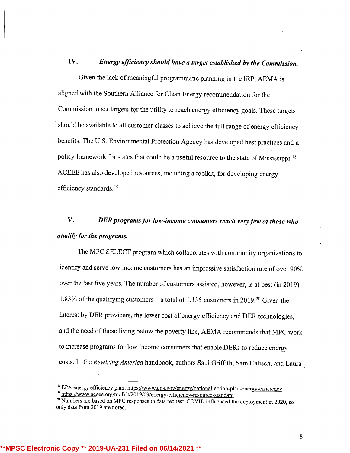## IV. Energy efficiency should have a target established by the Commission.

Given the lack of meaningful programmatic planning in the IRP, AEMA is aligned with the Southern Alliance for Clean Energy recommendation for the Commission to set targets for the utility to reach energy efficiency goals. These targets should be available to all customer classes to achieve the full range of energy efficiency benefits. The U.S. Environmental Protection Agency has developed best practices and a policy framework for states that could be <sup>a</sup> useful resource to the state of Mississippi.18 ACEEE has also developed resources, including a toolkit, for developing energy efficiency standards.19

# V. DER programs for low-income consumers reach very few of those who qualify for the programs.

The MPC SELECT program which collaborates with community organizations to identify and serve low income customers has an impressive satisfaction rate of over 90% over the last five years. The number of customers assisted, however, is at best (in 2019) 1.83% of the qualifying customers—a total of 1,135 customers in 2019.<sup>20</sup> Given the interest by DER providers, the lower cost of energy efficiency and DER technologies, and the need of those living below the poverty line, AEMA recommends that MPC work to increase programs for low income consumers that enable DERs to reduce energy costs. In the Rewiring America handbook, authors Saul Griffith, Sam Calisch, and Laura

8

**IPSC Electronic Copy \*\* 2019-UA-231 Filed on 06/14/202** 

<sup>&</sup>lt;sup>18</sup> EPA energy efficiency plan: https://www.epa.gov/energy/national-action-plan-energy-efficiency

<sup>&</sup>lt;sup>19</sup> https://www.aceee.org/toolkit/2019/09/energy-efficiency-resource-standard

<sup>&</sup>lt;sup>20</sup> Numbers are based on MPC responses to data request. COVID influenced the deployment in 2020, so only data from 2019 are noted.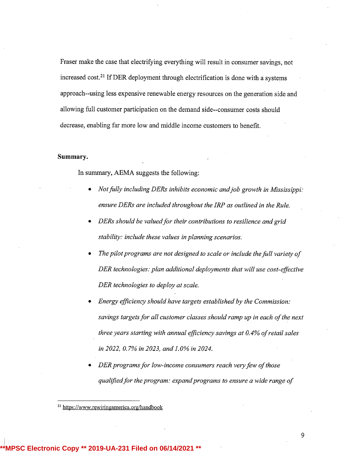Fraser make the case that electrifying everything will result in consumer savings, not increased cost.<sup>21</sup> If DER deployment through electrification is done with a systems approach--using less expensive renewable energy resources on the generation side and allowing full customer participation on the demand side--consumer costs should decrease, enabling far more low and middle income customers to benefit.

### Summary.

In summary, AEMA suggests the following:

- Not fully including DERs inhibits economic and job growth in Mississippi: ensure DERs are included throughout the IRP as outlined in the Rule.
- DERs should be valued for their contributions to resilience and grid stability: include these values in planning scenarios.
- The pilot programs are not designed to scale or include the full variety of DER technologies: plan additional deployments that will use cost-effective DER technologies to deploy at scale.
- Energy efficiency should have targets established by the Commission: savings targets for all customer classes should ramp up in each of the next three years starting with annual efficiency savings at  $0.4\%$  of retail sales in 2022, 0.7% in 2023, and 1.0% in 2024.
- DER programs for low-income consumers reach very few of those qualified for the program: expand programs to ensure a wide range of

**\*\*MPSC Electronic Copy \*\* 2019-UA-231 Filed on 06/14/2021 \*\***

<sup>21</sup> https://www.rewirineamerica.org/handbook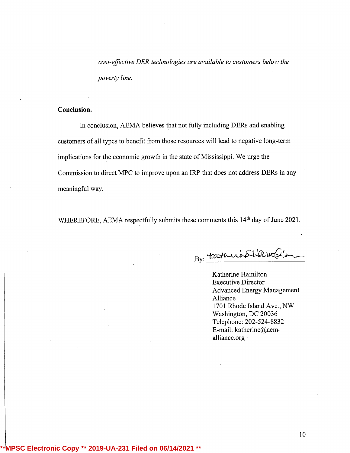cost-effective DER technologies are available to customers below the poverty line.

### Conclusion.

In conclusion, AEMA believes that not fully including DERs and enabling customers of all types to benefit from those resources will lead to negative long-term implications for the economic growth in the state of Mississippi. We urge the Commission to direct MPC to improve upon an IRP that does not address DERs in any meaningful way.

WHEREFORE, AEMA respectfully submits these comments this 14<sup>th</sup> day of June 2021.

By: catheris SHawn

Katherine Hamilton Executive Director Advanced Energy Management Alliance 1701 Rhode Island Ave., NW Washington, DC 20036 Telephone: 202-524-8832 E-mail: katherine@aemalliance.org